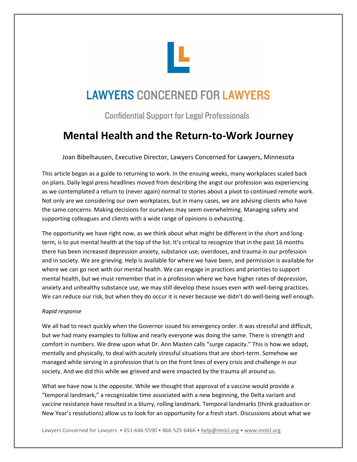

# **LAWYERS CONCERNED FOR LAWYERS**

**Confidential Support for Legal Professionals** 

## **Mental Health and the Return-to-Work Journey**

Joan Bibelhausen, Executive Director, Lawyers Concerned for Lawyers, Minnesota

This article began as a guide to returning to work. In the ensuing weeks, many workplaces scaled back on plans. Daily legal press headlines moved from describing the angst our profession was experiencing as we contemplated a return to (never again) normal to stories about a pivot to continued remote work. Not only are we considering our own workplaces, but in many cases, we are advising clients who have the same concerns. Making decisions for ourselves may seem overwhelming. Managing safety and supporting colleagues and clients with a wide range of opinions is exhausting.

The opportunity we have right now, as we think about what might be different in the short and longterm, is to put mental health at the top of the list. It's critical to recognize that in the past 16 months there has been increased depression anxiety, substance use, overdoses, and trauma in our profession and in society. We are grieving. Help is available for where we have been, and permission is available for where we can go next with our mental health. We can engage in practices and priorities to support mental health, but we must remember that in a profession where we have higher rates of depression, anxiety and unhealthy substance use, we may still develop these issues even with well-being practices. We can reduce our risk, but when they do occur it is never because we didn't do well-being well enough.

### *Rapid response*

We all had to react quickly when the Governor issued his emergency order. It was stressful and difficult, but we had many examples to follow and nearly everyone was doing the same. There is strength and comfort in numbers. We drew upon what Dr. Ann Masten calls "surge capacity." This is how we adapt, mentally and physically, to deal with acutely stressful situations that are short-term. Somehow we managed while serving in a profession that is on the front lines of every crisis and challenge in our society. And we did this while we grieved and were impacted by the trauma all around us.

What we have now is the opposite. While we thought that approval of a vaccine would provide a "temporal landmark," a recognizable time associated with a new beginning, the Delta variant and vaccine resistance have resulted in a blurry, rolling landmark. Temporal landmarks (think graduation or New Year's resolutions) allow us to look for an opportunity for a fresh start. Discussions about what we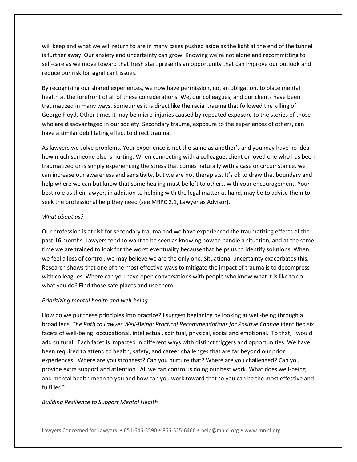will keep and what we will return to are in many cases pushed aside as the light at the end of the tunnel is further away. Our anxiety and uncertainty can grow. Knowing we're not alone and recommitting to self-care as we move toward that fresh start presents an opportunity that can improve our outlook and reduce our risk for significant issues.

By recognizing our shared experiences, we now have permission, no, an obligation, to place mental health at the forefront of all of these considerations. We, our colleagues, and our clients have been traumatized in many ways. Sometimes it is direct like the racial trauma that followed the killing of George Floyd. Other times it may be micro-injuries caused by repeated exposure to the stories of those who are disadvantaged in our society. Secondary trauma, exposure to the experiences of others, can have a similar debilitating effect to direct trauma.

As lawyers we solve problems. Your experience is not the same as another's and you may have no idea how much someone else is hurting. When connecting with a colleague, client or loved one who has been traumatized or is simply experiencing the stress that comes naturally with a case or circumstance, we can increase our awareness and sensitivity, but we are not therapists. It's ok to draw that boundary and help where we can but know that some healing must be left to others, with your encouragement. Your best role as their lawyer, in addition to helping with the legal matter at hand, may be to advise them to seek the professional help they need (see MRPC 2.1, Lawyer as Advisor).

#### *What about us?*

Our profession is at risk for secondary trauma and we have experienced the traumatizing effects of the past 16 months. Lawyers tend to want to be seen as knowing how to handle a situation, and at the same time we are trained to look for the worst eventuality because that helps us to identify solutions. When we feel a loss of control, we may believe we are the only one. Situational uncertainty exacerbates this. Research shows that one of the most effective ways to mitigate the impact of trauma is to decompress with colleagues. Where can you have open conversations with people who know what it is like to do what you do? Find those safe places and use them.

#### *Prioritizing mental health and well-being*

How do we put these principles into practice? I suggest beginning by looking at well-being through a broad lens. *The Path to Lawyer Well-Being: Practical Recommendations for Positive Change* identified six facets of well-being: occupational, intellectual, spiritual, physical, social and emotional. To that, I would add cultural. Each facet is impacted in different ways with distinct triggers and opportunities. We have been required to attend to health, safety, and career challenges that are far beyond our prior experiences. Where are you strongest? Can you nurture that? Where are you challenged? Can you provide extra support and attention? All we can control is doing our best work. What does well-being and mental health mean to you and how can you work toward that so you can be the most effective and fulfilled?

#### *Building Resilience to Support Mental Health*